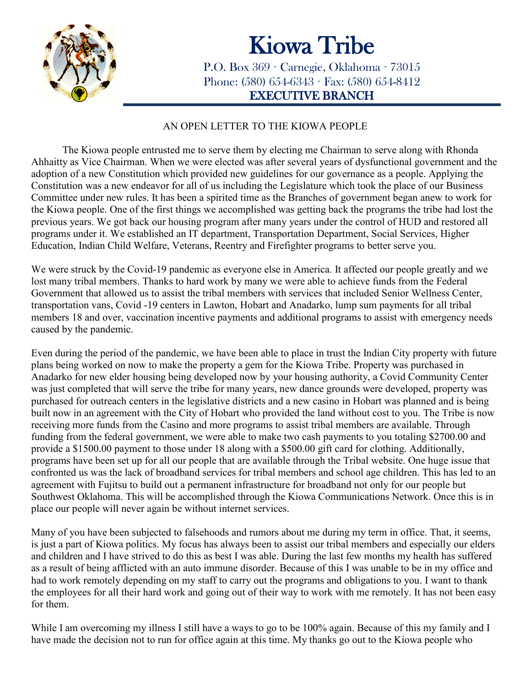

## Kiowa Tribe<br>P.O. Box 369 · Carnegie, Oklahoma · 73015

Phone:  $(580)$  654-6343 · Fax:  $(580)$  654-8412 EXECUTIVE BRANCH

## AN OPEN LETTER TO THE KIOWA PEOPLE

The Kiowa people entrusted me to serve them by electing me Chairman to serve along with Rhonda Ahhaitty as Vice Chairman. When we were elected was after several years of dysfunctional government and the adoption of a new Constitution which provided new guidelines for our governance as a people. Applying the Constitution was a new endeavor for all of us including the Legislature which took the place of our Business Committee under new rules. It has been a spirited time as the Branches of government began anew to work for the Kiowa people. One of the first things we accomplished was getting back the programs the tribe had lost the previous years. We got back our housing program after many years under the control of HUD and restored all programs under it. We established an IT department, Transportation Department, Social Services, Higher Education, Indian Child Welfare, Veterans, Reentry and Firefighter programs to better serve you.

We were struck by the Covid-19 pandemic as everyone else in America. It affected our people greatly and we lost many tribal members. Thanks to hard work by many we were able to achieve funds from the Federal Government that allowed us to assist the tribal members with services that included Senior Wellness Center, transportation vans, Covid -19 centers in Lawton, Hobart and Anadarko, lump sum payments for all tribal members 18 and over, vaccination incentive payments and additional programs to assist with emergency needs caused by the pandemic.

Even during the period of the pandemic, we have been able to place in trust the Indian City property with future plans being worked on now to make the property a gem for the Kiowa Tribe. Property was purchased in Anadarko for new elder housing being developed now by your housing authority, a Covid Community Center was just completed that will serve the tribe for many years, new dance grounds were developed, property was purchased for outreach centers in the legislative districts and a new casino in Hobart was planned and is being built now in an agreement with the City of Hobart who provided the land without cost to you. The Tribe is now receiving more funds from the Casino and more programs to assist tribal members are available. Through funding from the federal government, we were able to make two cash payments to you totaling \$2700.00 and provide a \$1500.00 payment to those under 18 along with a \$500.00 gift card for clothing. Additionally, programs have been set up for all our people that are available through the Tribal website. One huge issue that confronted us was the lack of broadband services for tribal members and school age children. This has led to an agreement with Fujitsu to build out a permanent infrastructure for broadband not only for our people but Southwest Oklahoma. This will be accomplished through the Kiowa Communications Network. Once this is in place our people will never again be without internet services.

Many of you have been subjected to falsehoods and rumors about me during my term in office. That, it seems, is just a part of Kiowa politics. My focus has always been to assist our tribal members and especially our elders and children and I have strived to do this as best I was able. During the last few months my health has suffered as a result of being afflicted with an auto immune disorder. Because of this I was unable to be in my office and had to work remotely depending on my staff to carry out the programs and obligations to you. I want to thank the employees for all their hard work and going out of their way to work with me remotely. It has not been easy for them.

While I am overcoming my illness I still have a ways to go to be 100% again. Because of this my family and I have made the decision not to run for office again at this time. My thanks go out to the Kiowa people who